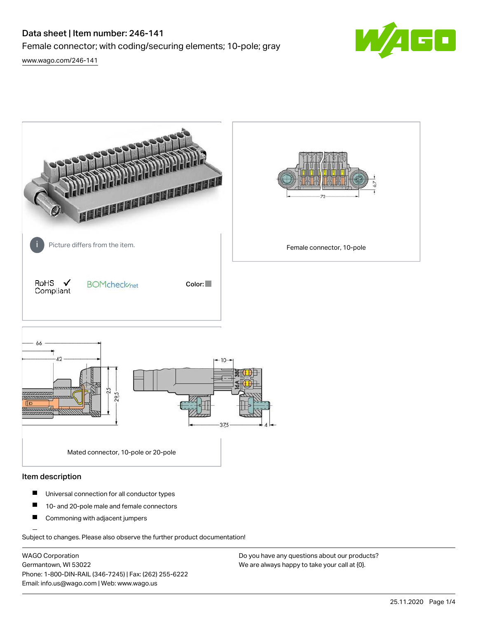# Data sheet | Item number: 246-141 Female connector; with coding/securing elements; 10-pole; gray [www.wago.com/246-141](http://www.wago.com/246-141)



**RANGARANG PARTIES AND AND REAL** Picture differs from the item. **Example 20** in Picture differs from the item. RoHS  $\checkmark$ **BOMcheck**<sub>net</sub> Color: Compliant  $AA$ soc 37,5

Mated connector, 10-pole or 20-pole

#### Item description

- $\blacksquare$ Universal connection for all conductor types
- $\blacksquare$ 10- and 20-pole male and female connectors
- $\blacksquare$ Commoning with adjacent jumpers

Subject to changes. Please also observe the further product documentation!

WAGO Corporation Germantown, WI 53022 Phone: 1-800-DIN-RAIL (346-7245) | Fax: (262) 255-6222 Email: info.us@wago.com | Web: www.wago.us

Do you have any questions about our products? We are always happy to take your call at {0}.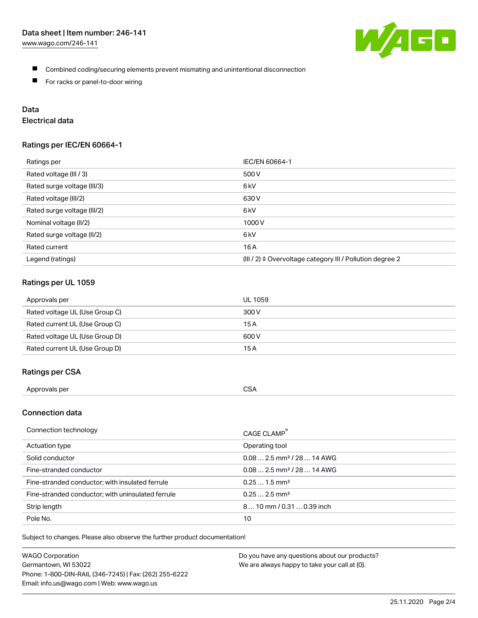

- Combined coding/securing elements prevent mismating and unintentional disconnection
- $\blacksquare$ For racks or panel-to-door wiring

# Data

# Electrical data

#### Ratings per IEC/EN 60664-1

| Ratings per                 | IEC/EN 60664-1                                                       |
|-----------------------------|----------------------------------------------------------------------|
| Rated voltage (III / 3)     | 500 V                                                                |
| Rated surge voltage (III/3) | 6 <sub>kV</sub>                                                      |
| Rated voltage (III/2)       | 630 V                                                                |
| Rated surge voltage (III/2) | 6 kV                                                                 |
| Nominal voltage (II/2)      | 1000V                                                                |
| Rated surge voltage (II/2)  | 6 <sub>kV</sub>                                                      |
| Rated current               | 16A                                                                  |
| Legend (ratings)            | (III / 2) $\triangleq$ Overvoltage category III / Pollution degree 2 |

### Ratings per UL 1059

| Approvals per                  | UL 1059 |
|--------------------------------|---------|
| Rated voltage UL (Use Group C) | 300 V   |
| Rated current UL (Use Group C) | 15 A    |
| Rated voltage UL (Use Group D) | 600 V   |
| Rated current UL (Use Group D) | 15 A    |

### Ratings per CSA

| Approvals per | CSA |
|---------------|-----|
|---------------|-----|

# Connection data

| Connection technology                             | CAGE CLAMP <sup>®</sup>                |
|---------------------------------------------------|----------------------------------------|
| Actuation type                                    | Operating tool                         |
| Solid conductor                                   | $0.082.5$ mm <sup>2</sup> / 28  14 AWG |
| Fine-stranded conductor                           | $0.082.5$ mm <sup>2</sup> / 28  14 AWG |
| Fine-stranded conductor; with insulated ferrule   | $0.251.5$ mm <sup>2</sup>              |
| Fine-stranded conductor; with uninsulated ferrule | $0.252.5$ mm <sup>2</sup>              |
| Strip length                                      | 810 mm / 0.31  0.39 inch               |
| Pole No.                                          | 10                                     |

Subject to changes. Please also observe the further product documentation!

| <b>WAGO Corporation</b>                                | Do you have any questions about our products? |
|--------------------------------------------------------|-----------------------------------------------|
| Germantown, WI 53022                                   | We are always happy to take your call at {0}. |
| Phone: 1-800-DIN-RAIL (346-7245)   Fax: (262) 255-6222 |                                               |
| Email: info.us@wago.com   Web: www.wago.us             |                                               |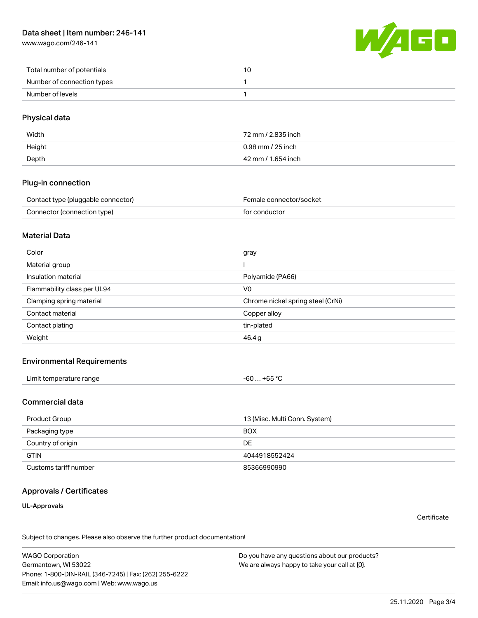[www.wago.com/246-141](http://www.wago.com/246-141)



| Total number of potentials |  |
|----------------------------|--|
| Number of connection types |  |
| Number of levels           |  |

### Physical data

| Width  | 72 mm / 2.835 inch |
|--------|--------------------|
| Height | 0.98 mm / 25 inch  |
| Depth  | 42 mm / 1.654 inch |

#### Plug-in connection

| Contact type (pluggable connector) | Female connector/socket |
|------------------------------------|-------------------------|
| Connector (connection type)        | for conductor           |

#### Material Data

| Color                       | gray                              |
|-----------------------------|-----------------------------------|
| Material group              |                                   |
| Insulation material         | Polyamide (PA66)                  |
| Flammability class per UL94 | V0                                |
| Clamping spring material    | Chrome nickel spring steel (CrNi) |
| Contact material            | Copper alloy                      |
| Contact plating             | tin-plated                        |
| Weight                      | 46.4g                             |

### Environmental Requirements

| Limit temperature range<br>the contract of the contract of the contract of the contract of the contract of the contract of the contract of | $. +65 °C$<br>-60 |
|--------------------------------------------------------------------------------------------------------------------------------------------|-------------------|
|--------------------------------------------------------------------------------------------------------------------------------------------|-------------------|

#### Commercial data

| Product Group         | 13 (Misc. Multi Conn. System) |
|-----------------------|-------------------------------|
| Packaging type        | <b>BOX</b>                    |
| Country of origin     | DE                            |
| <b>GTIN</b>           | 4044918552424                 |
| Customs tariff number | 85366990990                   |

## Approvals / Certificates

UL-Approvals

**Certificate** 

Subject to changes. Please also observe the further product documentation!

WAGO Corporation Germantown, WI 53022 Phone: 1-800-DIN-RAIL (346-7245) | Fax: (262) 255-6222 Email: info.us@wago.com | Web: www.wago.us

Do you have any questions about our products? We are always happy to take your call at {0}.